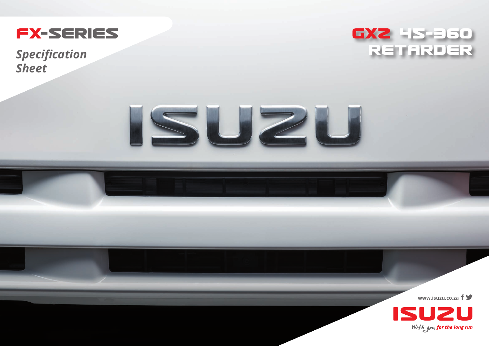

*Sheet*





**www.isuzu.co.za**